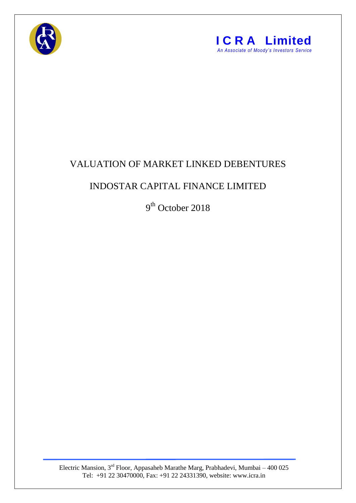



## VALUATION OF MARKET LINKED DEBENTURES

## INDOSTAR CAPITAL FINANCE LIMITED

9<sup>th</sup> October 2018

Electric Mansion,  $3<sup>rd</sup>$  Floor, Appasaheb Marathe Marg, Prabhadevi, Mumbai – 400 025 Tel: +91 22 30470000, Fax: +91 22 24331390, website: www.icra.in